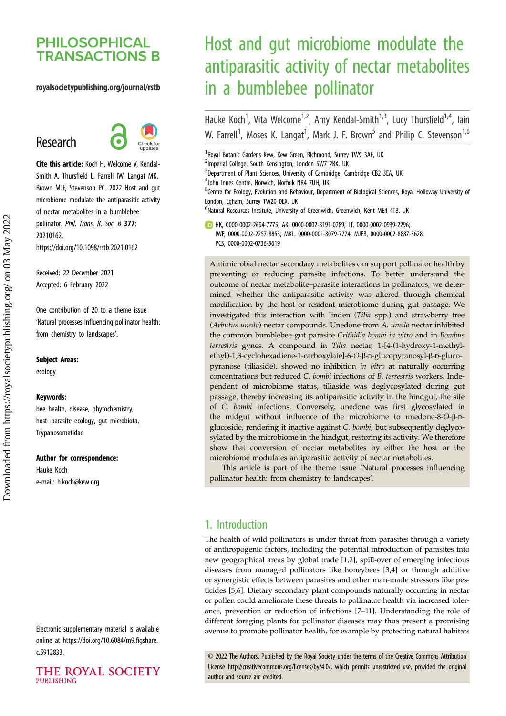## **PHILOSOPHICAL TRANSACTIONS B**

#### royalsocietypublishing.org/journal/rstb

# Research



Cite this article: Koch H, Welcome V, Kendal-Smith A, Thursfield L, Farrell IW, Langat MK, Brown MJF, Stevenson PC. 2022 Host and gut microbiome modulate the antiparasitic activity of nectar metabolites in a bumblebee pollinator. Phil. Trans. R. Soc. B 377: 20210162. https://doi.org/10.1098/rstb.2021.0162

Received: 22 December 2021 Accepted: 6 February 2022

One contribution of 20 to a theme issue '[Natural processes influencing pollinator health:](http://dx.doi.org/10.1098/rstb/377/1853) [from chemistry to landscapes](http://dx.doi.org/10.1098/rstb/377/1853)'.

Subject Areas:

ecology

#### Keywords:

bee health, disease, phytochemistry, host–parasite ecology, gut microbiota, Trypanosomatidae

#### Author for correspondence:

Hauke Koch e-mail: [h.koch@kew.org](mailto:h.koch@kew.org)

Electronic supplementary material is available online at [https://doi.org/10.6084/m9.figshare.](https://doi.org/10.6084/m9.figshare.c.5912833) [c.5912833.](https://doi.org/10.6084/m9.figshare.c.5912833)

THE ROYAL SOCIETY **PUBLISHING** 

# Host and gut microbiome modulate the antiparasitic activity of nectar metabolites in a bumblebee pollinator

Hauke Koch<sup>1</sup>, Vita Welcome<sup>1,2</sup>, Amy Kendal-Smith<sup>1,3</sup>, Lucy Thursfield<sup>1,4</sup>, lain W. Farrell<sup>1</sup>, Moses K. Langat<sup>1</sup>, Mark J. F. Brown<sup>5</sup> and Philip C. Stevenson<sup>1,6</sup>

<sup>1</sup> Royal Botanic Gardens Kew, Kew Green, Richmond, Surrey TW9 3AE, UK

<sup>2</sup>Imperial College, South Kensington, London SW7 2BX, UK

<sup>3</sup>Department of Plant Sciences, University of Cambridge, Cambridge CB2 3EA, UK

4 John Innes Centre, Norwich, Norfolk NR4 7UH, UK

<sup>5</sup>Centre for Ecology, Evolution and Behaviour, Department of Biological Sciences, Royal Holloway University of London, Egham, Surrey TW20 0EX, UK

<sup>6</sup>Natural Resources Institute, University of Greenwich, Greenwich, Kent ME4 4TB, UK

HK, [0000-0002-2694-7775](http://orcid.org/0000-0002-2694-7775); AK, [0000-0002-8191-0289](https://orcid.org/0000-0002-8191-0289); LT, [0000-0002-0939-2296](https://orcid.org/0000-0002-0939-2296); IWF, [0000-0002-2257-8853;](https://orcid.org/0000-0002-2257-8853) MKL, [0000-0001-8079-7774](https://orcid.org/0000-0001-8079-7774); MJFB, [0000-0002-8887-3628](http://orcid.org/0000-0002-8887-3628); PCS, [0000-0002-0736-3619](http://orcid.org/0000-0002-0736-3619)

Antimicrobial nectar secondary metabolites can support pollinator health by preventing or reducing parasite infections. To better understand the outcome of nectar metabolite–parasite interactions in pollinators, we determined whether the antiparasitic activity was altered through chemical modification by the host or resident microbiome during gut passage. We investigated this interaction with linden (Tilia spp.) and strawberry tree (Arbutus unedo) nectar compounds. Unedone from A. unedo nectar inhibited the common bumblebee gut parasite Crithidia bombi in vitro and in Bombus terrestris gynes. A compound in Tilia nectar, 1-[4-(1-hydroxy-1-methylethyl)-1,3-cyclohexadiene-1-carboxylate]-6-O-β-D-glucopyranosyl-β-D-glucopyranose (tiliaside), showed no inhibition in vitro at naturally occurring concentrations but reduced C. bombi infections of B. terrestris workers. Independent of microbiome status, tiliaside was deglycosylated during gut passage, thereby increasing its antiparasitic activity in the hindgut, the site of C. bombi infections. Conversely, unedone was first glycosylated in the midgut without influence of the microbiome to unedone-8-O-β-Dglucoside, rendering it inactive against C. bombi, but subsequently deglycosylated by the microbiome in the hindgut, restoring its activity. We therefore show that conversion of nectar metabolites by either the host or the microbiome modulates antiparasitic activity of nectar metabolites.

This article is part of the theme issue 'Natural processes influencing pollinator health: from chemistry to landscapes'.

## 1. Introduction

The health of wild pollinators is under threat from parasites through a variety of anthropogenic factors, including the potential introduction of parasites into new geographical areas by global trade [\[1,2\]](#page-8-0), spill-over of emerging infectious diseases from managed pollinators like honeybees [[3](#page-8-0),[4](#page-8-0)] or through additive or synergistic effects between parasites and other man-made stressors like pesticides [\[5](#page-8-0),[6](#page-8-0)]. Dietary secondary plant compounds naturally occurring in nectar or pollen could ameliorate these threats to pollinator health via increased tolerance, prevention or reduction of infections [[7](#page-8-0)–[11](#page-8-0)]. Understanding the role of different foraging plants for pollinator diseases may thus present a promising avenue to promote pollinator health, for example by protecting natural habitats

© 2022 The Authors. Published by the Royal Society under the terms of the Creative Commons Attribution License<http://creativecommons.org/licenses/by/4.0/>, which permits unrestricted use, provided the original author and source are credited.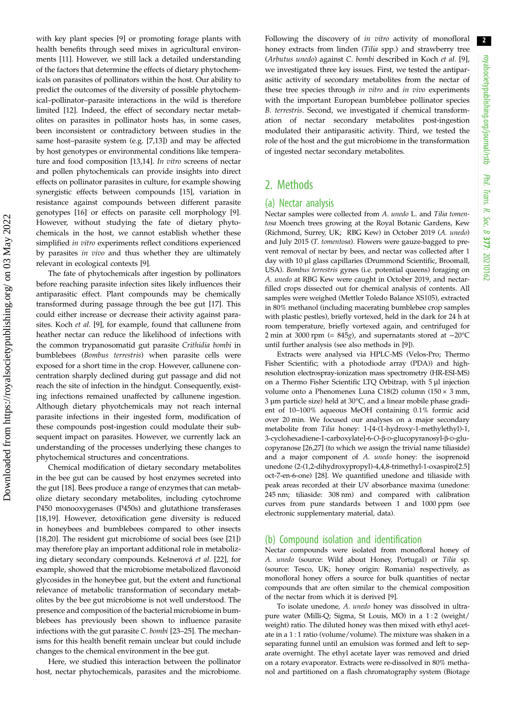with key plant species [\[9\]](#page-8-0) or promoting forage plants with health benefits through seed mixes in agricultural environments [[11](#page-8-0)]. However, we still lack a detailed understanding of the factors that determine the effects of dietary phytochemicals on parasites of pollinators within the host. Our ability to predict the outcomes of the diversity of possible phytochemical–pollinator–parasite interactions in the wild is therefore limited [[12\]](#page-8-0). Indeed, the effect of secondary nectar metabolites on parasites in pollinator hosts has, in some cases, been inconsistent or contradictory between studies in the same host–parasite system (e.g. [\[7,13](#page-8-0)]) and may be affected by host genotypes or environmental conditions like temperature and food composition [\[13](#page-8-0),[14](#page-8-0)]. In vitro screens of nectar and pollen phytochemicals can provide insights into direct effects on pollinator parasites in culture, for example showing synergistic effects between compounds [[15\]](#page-8-0), variation in resistance against compounds between different parasite genotypes [\[16](#page-8-0)] or effects on parasite cell morphology [[9](#page-8-0)]. However, without studying the fate of dietary phytochemicals in the host, we cannot establish whether these simplified in vitro experiments reflect conditions experienced by parasites in vivo and thus whether they are ultimately relevant in ecological contexts [[9](#page-8-0)].

The fate of phytochemicals after ingestion by pollinators before reaching parasite infection sites likely influences their antiparasitic effect. Plant compounds may be chemically transformed during passage through the bee gut [[17\]](#page-8-0). This could either increase or decrease their activity against parasites. Koch et al. [[9](#page-8-0)], for example, found that callunene from heather nectar can reduce the likelihood of infections with the common trypanosomatid gut parasite Crithidia bombi in bumblebees (Bombus terrestris) when parasite cells were exposed for a short time in the crop. However, callunene concentration sharply declined during gut passage and did not reach the site of infection in the hindgut. Consequently, existing infections remained unaffected by callunene ingestion. Although dietary phyotchemicals may not reach internal parasite infections in their ingested form, modification of these compounds post-ingestion could modulate their subsequent impact on parasites. However, we currently lack an understanding of the processes underlying these changes to phytochemical structures and concentrations.

Chemical modification of dietary secondary metabolites in the bee gut can be caused by host enzymes secreted into the gut [[18\]](#page-8-0). Bees produce a range of enzymes that can metabolize dietary secondary metabolites, including cytochrome P450 monooxygenases (P450s) and glutathione transferases [\[18](#page-8-0),[19\]](#page-8-0). However, detoxification gene diversity is reduced in honeybees and bumblebees compared to other insects [\[18](#page-8-0),[20\]](#page-8-0). The resident gut microbiome of social bees (see [[21\]](#page-8-0)) may therefore play an important additional role in metabolizing dietary secondary compounds. Kešnerová et al. [[22\]](#page-8-0), for example, showed that the microbiome metabolized flavonoid glycosides in the honeybee gut, but the extent and functional relevance of metabolic transformation of secondary metabolites by the bee gut microbiome is not well understood. The presence and composition of the bacterial microbiome in bumblebees has previously been shown to influence parasite infections with the gut parasite C. bombi [\[23](#page-8-0)–[25\]](#page-8-0). The mechanisms for this health benefit remain unclear but could include changes to the chemical environment in the bee gut.

Here, we studied this interaction between the pollinator host, nectar phytochemicals, parasites and the microbiome. Following the discovery of in vitro activity of monofloral honey extracts from linden (Tilia spp.) and strawberry tree (Arbutus unedo) against C. bombi described in Koch et al. [\[9\]](#page-8-0), we investigated three key issues. First, we tested the antiparasitic activity of secondary metabolites from the nectar of these tree species through in vitro and in vivo experiments with the important European bumblebee pollinator species B. terrestris. Second, we investigated if chemical transformation of nectar secondary metabolites post-ingestion modulated their antiparasitic activity. Third, we tested the role of the host and the gut microbiome in the transformation of ingested nectar secondary metabolites.

## 2. Methods

#### (a) Nectar analysis

Nectar samples were collected from A. unedo L. and Tilia tomentosa Moench trees growing at the Royal Botanic Gardens, Kew (Richmond, Surrey, UK; RBG Kew) in October 2019 (A. unedo) and July 2015 (T. tomentosa). Flowers were gauze-bagged to prevent removal of nectar by bees, and nectar was collected after 1 day with 10 µl glass capillaries (Drummond Scientific, Broomall, USA). Bombus terrestris gynes (i.e. potential queens) foraging on A. unedo at RBG Kew were caught in October 2019, and nectarfilled crops dissected out for chemical analysis of contents. All samples were weighed (Mettler Toledo Balance XS105), extracted in 80% methanol (including macerating bumblebee crop samples with plastic pestles), briefly vortexed, held in the dark for 24 h at room temperature, briefly vortexed again, and centrifuged for 2 min at 3000 rpm (= 845g), and supernatants stored at −20°C until further analysis (see also methods in [[9](#page-8-0)]).

Extracts were analysed via HPLC-MS (Velos-Pro; Thermo Fisher Scientific; with a photodiode array (PDA)) and highresolution electrospray-ionization mass spectrometry (HR-ESI-MS) on a Thermo Fisher Scientific LTQ Orbitrap, with 5 µl injection volume onto a Phenomenex Luna C18(2) column (150  $\times$  3 mm, 3 µm particle size) held at 30°C, and a linear mobile phase gradient of 10–100% aqueous MeOH containing 0.1% formic acid over 20 min. We focused our analyses on a major secondary metabolite from Tilia honey: 1-[4-(1-hydroxy-1-methylethyl)-1, 3-cyclohexadiene-1-carboxylate]-6-O-β-D-glucopyranosyl-β-D-glucopyranose [\[26,](#page-8-0)[27](#page-9-0)] (to which we assign the trivial name tiliaside) and a major component of A. unedo honey: the isoprenoid unedone (2-(1,2-dihydroxypropyl)-4,4,8-trimethyl-1-oxaspiro[2.5] oct-7-en-6-one) [[28](#page-9-0)]. We quantified unedone and tiliaside with peak areas recorded at their UV absorbance maxima (unedone: 245 nm; tiliaside: 308 nm) and compared with calibration curves from pure standards between 1 and 1000 ppm (see electronic supplementary material, data).

#### (b) Compound isolation and identification

Nectar compounds were isolated from monofloral honey of A. unedo (source: Wild about Honey, Portugal) or Tilia sp. (source: Tesco, UK; honey origin: Romania) respectively, as monofloral honey offers a source for bulk quantities of nectar compounds that are often similar to the chemical composition of the nectar from which it is derived [\[9\]](#page-8-0).

To isolate unedone, A. unedo honey was dissolved in ultrapure water (Milli-Q; Sigma, St Louis, MO) in a 1 : 2 (weight/ weight) ratio. The diluted honey was then mixed with ethyl acetate in a 1 : 1 ratio (volume/volume). The mixture was shaken in a separating funnel until an emulsion was formed and left to separate overnight. The ethyl acetate layer was removed and dried on a rotary evaporator. Extracts were re-dissolved in 80% methanol and partitioned on a flash chromatography system (Biotage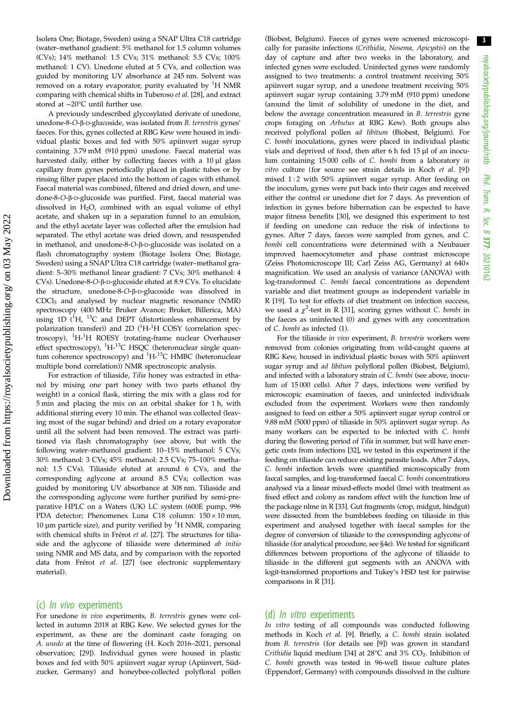Isolera One; Biotage, Sweden) using a SNAP Ultra C18 cartridge (water–methanol gradient: 5% methanol for 1.5 column volumes (CVs); 14% methanol: 1.5 CVs; 31% methanol: 5.5 CVs; 100% methanol: 1 CV). Unedone eluted at 5 CVs, and collection was guided by monitoring UV absorbance at 245 nm. Solvent was removed on a rotary evaporator, purity evaluated by <sup>1</sup>H NMR comparing with chemical shifts in Tuberoso et al. [\[28\]](#page-9-0), and extract stored at −20°C until further use.

A previously undescribed glycosylated derivate of unedone, unedone-8-O-β-D-glucoside, was isolated from B. terrestris gynes' faeces. For this, gynes collected at RBG Kew were housed in individual plastic boxes and fed with 50% apiinvert sugar syrup containing 3.79 mM (910 ppm) unedone. Faecal material was harvested daily, either by collecting faeces with a 10 µl glass capillary from gynes periodically placed in plastic tubes or by rinsing filter paper placed into the bottom of cages with ethanol. Faecal material was combined, filtered and dried down, and unedone-8-O-β-D-glucoside was purified. First, faecal material was dissolved in  $H<sub>2</sub>O$ , combined with an equal volume of ethyl acetate, and shaken up in a separation funnel to an emulsion, and the ethyl acetate layer was collected after the emulsion had separated. The ethyl acetate was dried down, and resuspended in methanol, and unedone-8-O-β-D-glucoside was isolated on a flash chromatography system (Biotage Isolera One; Biotage, Sweden) using a SNAP Ultra C18 cartridge (water–methanol gradient: 5–30% methanol linear gradient: 7 CVs; 30% methanol: 4 CVs). Unedone-8-O-β-D-glucoside eluted at 8.9 CVs. To elucidate the structure, unedone-8-O-β-D-glucoside was dissolved in CDCl3 and analysed by nuclear magnetic resonance (NMR) spectroscopy (400 MHz Bruker Avance; Bruker, Billerica, MA) using 1D  $(^{1}H, ^{13}C$  and DEPT (distortionless enhancement by polarization transfer)) and 2D (<sup>1</sup>H-<sup>1</sup>H COSY (correlation spectroscopy), <sup>1</sup>H-<sup>1</sup>H ROESY (rotating-frame nuclear Overhauser effect spectroscopy), <sup>1</sup>H-<sup>13</sup>C HSQC (heteronuclear single quantum coherence spectroscopy) and <sup>1</sup>H-<sup>13</sup>C HMBC (heteronuclear multiple bond correlation)) NMR spectroscopic analysis.

For extraction of tiliaside, Tilia honey was extracted in ethanol by mixing one part honey with two parts ethanol (by weight) in a conical flask, stirring the mix with a glass rod for 5 min and placing the mix on an orbital shaker for 1 h, with additional stirring every 10 min. The ethanol was collected (leaving most of the sugar behind) and dried on a rotary evaporator until all the solvent had been removed. The extract was partitioned via flash chromatography (see above, but with the following water–methanol gradient: 10–15% methanol: 5 CVs; 30% methanol: 3 CVs; 45% methanol: 2.5 CVs; 75–100% methanol: 1.5 CVs). Tiliaside eluted at around 6 CVs, and the corresponding aglycone at around 8.5 CVs; collection was guided by monitoring UV absorbance at 308 nm. Tiliaside and the corresponding aglycone were further purified by semi-preparative HPLC on a Waters (UK) LC system (600E pump, 996 PDA detector; Phenomenex Luna C18 column: 150 × 10 mm, 10  $\mu$ m particle size), and purity verified by  ${}^{1}$ H NMR, comparing with chemical shifts in Frérot et al. [[27](#page-9-0)]. The structures for tiliaside and the aglycone of tiliaside were determined ab initio using NMR and MS data, and by comparison with the reported data from Frérot et al. [\[27\]](#page-9-0) (see electronic supplementary material).

#### (c) In vivo experiments

For unedone in vivo experiments, B. terrestris gynes were collected in autumn 2018 at RBG Kew. We selected gynes for the experiment, as these are the dominant caste foraging on A. unedo at the time of flowering (H. Koch 2016–2021, personal observation; [[29](#page-9-0)]). Individual gynes were housed in plastic boxes and fed with 50% apiinvert sugar syrup (Apiinvert, Südzucker, Germany) and honeybee-collected polyfloral pollen (Biobest, Belgium). Faeces of gynes were screened microscopically for parasite infections (Crithidia, Nosema, Apicystis) on the day of capture and after two weeks in the laboratory, and infected gynes were excluded. Uninfected gynes were randomly assigned to two treatments: a control treatment receiving 50% apiinvert sugar syrup, and a unedone treatment receiving 50% apiinvert sugar syrup containing 3.79 mM (910 ppm) unedone (around the limit of solubility of unedone in the diet, and below the average concentration measured in *B. terrestris* gyne crops foraging on Arbutus at RBG Kew). Both groups also received polyfloral pollen ad libitum (Biobest, Belgium). For C. bombi inoculations, gynes were placed in individual plastic vials and deprived of food, then after 6 h fed 15 µl of an inoculum containing 15 000 cells of C. bombi from a laboratory in vitro culture (for source see strain details in Koch et al. [\[9](#page-8-0)]) mixed 1:2 with 50% apiinvert sugar syrup. After feeding on the inoculum, gynes were put back into their cages and received either the control or unedone diet for 7 days. As prevention of infection in gynes before hibernation can be expected to have major fitness benefits [[30](#page-9-0)], we designed this experiment to test if feeding on unedone can reduce the risk of infections to gynes. After 7 days, faeces were sampled from gynes, and C. bombi cell concentrations were determined with a Neubauer improved haemocytometer and phase contrast microscope (Zeiss Photomicroscope III; Carl Zeiss AG, Germany) at 640× magnification. We used an analysis of variance (ANOVA) with log-transformed C. bombi faecal concentrations as dependent variable and diet treatment groups as independent variable in R [\[19\]](#page-8-0). To test for effects of diet treatment on infection success, we used a  $\chi^2$ -test in R [[31](#page-9-0)], scoring gynes without C. bombi in the faeces as uninfected (0) and gynes with any concentration of C. bombi as infected (1).

For the tiliaside in vivo experiment, B. terrestris workers were removed from colonies originating from wild-caught queens at RBG Kew, housed in individual plastic boxes with 50% apiinvert sugar syrup and ad libitum polyfloral pollen (Biobest, Belgium), and infected with a laboratory strain of C. bombi (see above, inoculum of 15 000 cells). After 7 days, infections were verified by microscopic examination of faeces, and uninfected individuals excluded from the experiment. Workers were then randomly assigned to feed on either a 50% apiinvert sugar syrup control or 9.88 mM (5000 ppm) of tiliaside in 50% apiinvert sugar syrup. As many workers can be expected to be infected with C. bombi during the flowering period of Tilia in summer, but will have energetic costs from infections [[32](#page-9-0)], we tested in this experiment if the feeding on tiliaside can reduce existing parasite loads. After 7 days, C. bombi infection levels were quantified microscopically from faecal samples, and log-transformed faecal C. bombi concentrations analysed via a linear mixed-effects model (lme) with treatment as fixed effect and colony as random effect with the function lme of the package nlme in R [\[33\]](#page-9-0). Gut fragments (crop, midgut, hindgut) were dissected from the bumblebees feeding on tiliaside in this experiment and analysed together with faecal samples for the degree of conversion of tiliaside to the corresponding aglycone of tiliaside (for analytical procedure, see §4e). We tested for significant differences between proportions of the aglycone of tiliaside to tiliaside in the different gut segments with an ANOVA with logit-transformed proportions and Tukey's HSD test for pairwise comparisons in R [\[31\]](#page-9-0).

#### (d) In vitro experiments

In vitro testing of all compounds was conducted following methods in Koch et al. [[9\]](#page-8-0). Briefly, a C. bombi strain isolated from B. terrestris (for details see [\[9\]](#page-8-0)) was grown in standard Crithidia liquid medium [[34\]](#page-9-0) at  $28^{\circ}$ C and  $3\%$  CO<sub>2</sub>. Inhibition of C. bombi growth was tested in 96-well tissue culture plates (Eppendorf, Germany) with compounds dissolved in the culture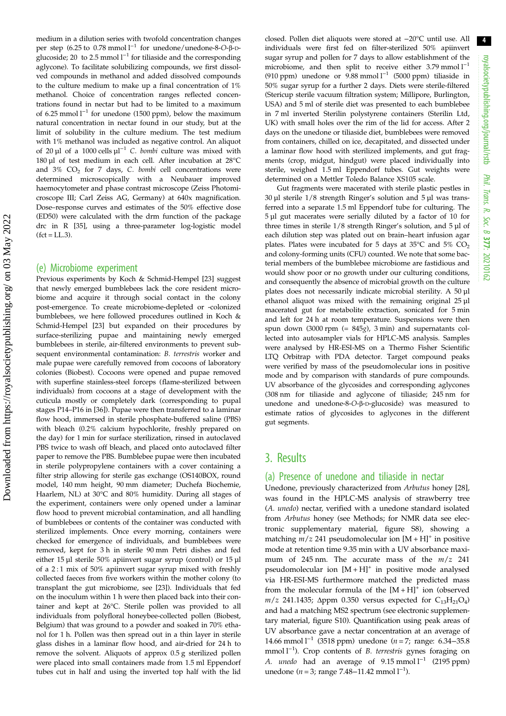medium in a dilution series with twofold concentration changes per step (6.25 to 0.78 mmol l−<sup>1</sup> for unedone/unedone-8-O-β-Dglucoside; 20 to 2.5 mmol  $l^{-1}$  for tiliaside and the corresponding aglycone). To facilitate solubilizing compounds, we first dissolved compounds in methanol and added dissolved compounds to the culture medium to make up a final concentration of 1% methanol. Choice of concentration ranges reflected concentrations found in nectar but had to be limited to a maximum of 6.25 mmol l−<sup>1</sup> for unedone (1500 ppm), below the maximum natural concentration in nectar found in our study, but at the limit of solubility in the culture medium. The test medium with 1% methanol was included as negative control. An aliquot of 20 µl of a 1000 cells µl−<sup>1</sup> C. bombi culture was mixed with 180 µl of test medium in each cell. After incubation at 28°C and  $3\%$  CO<sub>2</sub> for 7 days, C. bombi cell concentrations were determined microscopically with a Neubauer improved haemocytometer and phase contrast microscope (Zeiss Photomicroscope III; Carl Zeiss AG, Germany) at 640x magnification. Dose–response curves and estimates of the 50% effective dose (ED50) were calculated with the drm function of the package drc in R [[35\]](#page-9-0), using a three-parameter log-logistic model  $fct = LL.3$ .

#### (e) Microbiome experiment

Previous experiments by Koch & Schmid-Hempel [[23](#page-8-0)] suggest that newly emerged bumblebees lack the core resident microbiome and acquire it through social contact in the colony post-emergence. To create microbiome-depleted or -colonized bumblebees, we here followed procedures outlined in Koch & Schmid-Hempel [[23](#page-8-0)] but expanded on their procedures by surface-sterilizing pupae and maintaining newly emerged bumblebees in sterile, air-filtered environments to prevent subsequent environmental contamination: B. terrestris worker and male pupae were carefully removed from cocoons of laboratory colonies (Biobest). Cocoons were opened and pupae removed with superfine stainless-steel forceps (flame-sterilized between individuals) from cocoons at a stage of development with the cuticula mostly or completely dark (corresponding to pupal stages P14–P16 in [\[36\]](#page-9-0)). Pupae were then transferred to a laminar flow hood, immersed in sterile phosphate-buffered saline (PBS) with bleach (0.2% calcium hypochlorite, freshly prepared on the day) for 1 min for surface sterilization, rinsed in autoclaved PBS twice to wash off bleach, and placed onto autoclaved filter paper to remove the PBS. Bumblebee pupae were then incubated in sterile polypropylene containers with a cover containing a filter strip allowing for sterile gas exchange (OS140BOX, round model, 140 mm height, 90 mm diameter; Duchefa Biochemie, Haarlem, NL) at 30°C and 80% humidity. During all stages of the experiment, containers were only opened under a laminar flow hood to prevent microbial contamination, and all handling of bumblebees or contents of the container was conducted with sterilized implements. Once every morning, containers were checked for emergence of individuals, and bumblebees were removed, kept for 3 h in sterile 90 mm Petri dishes and fed either 15 µl sterile 50% apiinvert sugar syrup (control) or 15 µl of a 2 : 1 mix of 50% apiinvert sugar syrup mixed with freshly collected faeces from five workers within the mother colony (to transplant the gut microbiome, see [[23](#page-8-0)]). Individuals that fed on the inoculum within 1 h were then placed back into their container and kept at 26°C. Sterile pollen was provided to all individuals from polyfloral honeybee-collected pollen (Biobest, Belgium) that was ground to a powder and soaked in 70% ethanol for 1 h. Pollen was then spread out in a thin layer in sterile glass dishes in a laminar flow hood, and air-dried for 24 h to remove the solvent. Aliquots of approx 0.5 g sterilized pollen were placed into small containers made from 1.5 ml Eppendorf tubes cut in half and using the inverted top half with the lid

closed. Pollen diet aliquots were stored at −20°C until use. All individuals were first fed on filter-sterilized 50% apiinvert sugar syrup and pollen for 7 days to allow establishment of the microbiome, and then split to receive either 3.79 mmol  $l^{-1}$ (910 ppm) unedone or 9.88 mmol l−<sup>1</sup> (5000 ppm) tiliaside in 50% sugar syrup for a further 2 days. Diets were sterile-filtered (Stericup sterile vacuum filtration system; Millipore, Burlington, USA) and 5 ml of sterile diet was presented to each bumblebee in 7 ml inverted Sterilin polystyrene containers (Sterilin Ltd, UK) with small holes over the rim of the lid for access. After 2 days on the unedone or tiliaside diet, bumblebees were removed from containers, chilled on ice, decapitated, and dissected under a laminar flow hood with sterilized implements, and gut fragments (crop, midgut, hindgut) were placed individually into sterile, weighed 1.5 ml Eppendorf tubes. Gut weights were determined on a Mettler Toledo Balance XS105 scale.

Gut fragments were macerated with sterile plastic pestles in 30 µl sterile 1/8 strength Ringer's solution and 5 µl was transferred into a separate 1.5 ml Eppendorf tube for culturing. The 5 µl gut macerates were serially diluted by a factor of 10 for three times in sterile  $1/8$  strength Ringer's solution, and  $5 \mu$ l of each dilution step was plated out on brain–heart infusion agar plates. Plates were incubated for 5 days at 35 $\degree$ C and 5%  $CO<sub>2</sub>$ and colony-forming units (CFU) counted. We note that some bacterial members of the bumblebee microbiome are fastidious and would show poor or no growth under our culturing conditions, and consequently the absence of microbial growth on the culture plates does not necessarily indicate microbial sterility. A 50 µl ethanol aliquot was mixed with the remaining original 25 µl macerated gut for metabolite extraction, sonicated for 5 min and left for 24 h at room temperature. Suspensions were then spun down (3000 rpm (= 845g), 3 min) and supernatants collected into autosampler vials for HPLC-MS analysis. Samples were analysed by HR-ESI-MS on a Thermo Fisher Scientific LTQ Orbitrap with PDA detector. Target compound peaks were verified by mass of the pseudomolecular ions in positive mode and by comparison with standards of pure compounds. UV absorbance of the glycosides and corresponding aglycones (308 nm for tiliaside and aglycone of tiliaside; 245 nm for unedone and unedone-8-O-β-D-glucoside) was measured to estimate ratios of glycosides to aglycones in the different gut segments.

## 3. Results

#### (a) Presence of unedone and tiliaside in nectar

Unedone, previously characterized from Arbutus honey [[28\]](#page-9-0), was found in the HPLC-MS analysis of strawberry tree (A. unedo) nectar, verified with a unedone standard isolated from Arbutus honey (see Methods; for NMR data see electronic supplementary material, figure S8), showing a matching  $m/z$  241 pseudomolecular ion  $[M+H]$ <sup>+</sup> in positive mode at retention time 9.35 min with a UV absorbance maximum of 245 nm. The accurate mass of the  $m/z$  241 pseudomolecular ion  $[M + H]^+$  in positive mode analysed via HR-ESI-MS furthermore matched the predicted mass from the molecular formula of the  $[M+H]^+$  ion (observed  $m/z$  241.1435;  $\Delta$ ppm 0.350 versus expected for C<sub>13</sub>H<sub>21</sub>O<sub>4</sub>) and had a matching MS2 spectrum (see electronic supplementary material, figure S10). Quantification using peak areas of UV absorbance gave a nectar concentration at an average of 14.66 mmol l−<sup>1</sup> (3518 ppm) unedone (n = 7; range: 6.34−35.8 mmol l<sup>-1</sup>). Crop contents of *B. terrestris* gynes foraging on A. *unedo* had an average of 9.15 mmol l<sup>-1</sup> (2195 ppm) unedone (*n* = 3; range 7.48–11.42 mmol  $l^{-1}$ ).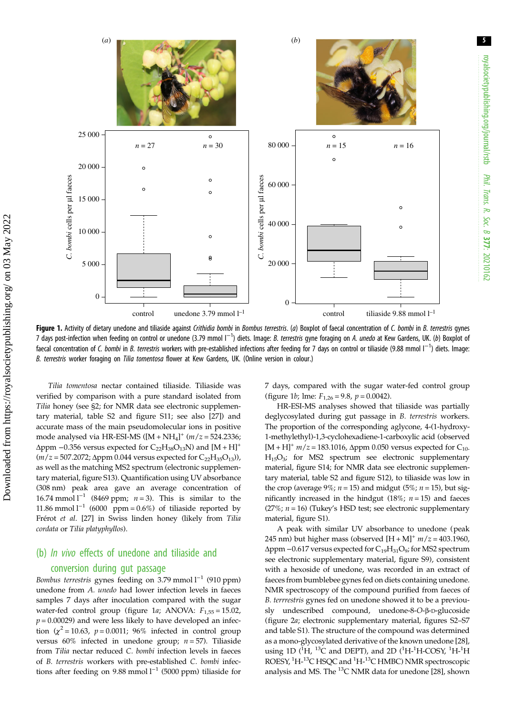

Figure 1. Activity of dietary unedone and tiliaside against Crithidia bombi in Bombus terrestris. (a) Boxplot of faecal concentration of C. bombi in B. terrestris gynes 7 days post-infection when feeding on control or unedone (3.79 mmol l<sup>-1</sup>) diets. Image: *B. terrestris* gyne foraging on A. *unedo* at Kew Gardens, UK. (b) Boxplot of faecal concentration of C. bombi in B. terrestris workers with pre-established infections after feeding for 7 days on control or tiliaside (9.88 mmol l<sup>-1</sup>) diets. Image: B. terrestris worker foraging on Tilia tomentosa flower at Kew Gardens, UK. (Online version in colour.)

Tilia tomentosa nectar contained tiliaside. Tiliaside was verified by comparison with a pure standard isolated from Tilia honey (see §2; for NMR data see electronic supplementary material, table S2 and figure S11; see also [[27\]](#page-9-0)) and accurate mass of the main pseudomolecular ions in positive mode analysed via HR-ESI-MS  $([M + NH_4]^+$   $(m/z = 524.2336;$  $\Delta$ ppm –0.356 versus expected for C<sub>22</sub>H<sub>38</sub>O<sub>13</sub>N) and [M + H]<sup>+</sup>  $(m/z = 507.2072; \Delta ppm$  0.044 versus expected for  $C_{22}H_{35}O_{13}$ ), as well as the matching MS2 spectrum (electronic supplementary material, figure S13). Quantification using UV absorbance (308 nm) peak area gave an average concentration of 16.74 mmol  $l^{-1}$  (8469 ppm;  $n = 3$ ). This is similar to the 11.86 mmol  $l^{-1}$  (6000 ppm = 0.6%) of tiliaside reported by Frérot et al. [[27\]](#page-9-0) in Swiss linden honey (likely from Tilia cordata or Tilia platyphyllos).

## (b) In vivo effects of unedone and tiliaside and conversion during gut passage

Bombus terrestris gynes feeding on 3.79 mmol l−<sup>1</sup> (910 ppm) unedone from A. unedo had lower infection levels in faeces samples 7 days after inoculation compared with the sugar water-fed control group (figure 1a; ANOVA:  $F_{1,55} = 15.02$ ,  $p = 0.00029$ ) and were less likely to have developed an infection  $(\chi^2 = 10.63, p = 0.0011; 96\%$  infected in control group versus  $60\%$  infected in unedone group;  $n = 57$ ). Tiliaside from Tilia nectar reduced C. bombi infection levels in faeces of B. terrestris workers with pre-established C. bombi infections after feeding on 9.88 mmol l<sup>-1</sup> (5000 ppm) tiliaside for 7 days, compared with the sugar water-fed control group (figure 1*b*; lme:  $F_{1,26} = 9.8$ ,  $p = 0.0042$ ).

HR-ESI-MS analyses showed that tiliaside was partially deglycosylated during gut passage in B. terrestris workers. The proportion of the corresponding aglycone, 4-(1-hydroxy-1-methylethyl)-1,3-cyclohexadiene-1-carboxylic acid (observed  $[M + H]^+$   $m/z = 183.1016$ ,  $\Delta$ ppm 0.050 versus expected for C<sub>10-</sub> H15O3; for MS2 spectrum see electronic supplementary material, figure S14; for NMR data see electronic supplementary material, table S2 and figure S12), to tiliaside was low in the crop (average 9%;  $n = 15$ ) and midgut (5%;  $n = 15$ ), but significantly increased in the hindgut (18%;  $n = 15$ ) and faeces (27%;  $n = 16$ ) (Tukey's HSD test; see electronic supplementary material, figure S1).

A peak with similar UV absorbance to unedone (peak 245 nm) but higher mass (observed  $[H + M]^+$   $m/z = 403.1960$ ,  $\Delta$ ppm –0.617 versus expected for C<sub>19</sub>H<sub>31</sub>O<sub>9</sub>; for MS2 spectrum see electronic supplementary material, figure S9), consistent with a hexoside of unedone, was recorded in an extract of faeces from bumblebee gynes fed on diets containing unedone. NMR spectroscopy of the compound purified from faeces of B. terrrestris gynes fed on unedone showed it to be a previously undescribed compound, unedone-8-O-β-D-glucoside ([figure 2](#page-5-0)a; electronic supplementary material, figures S2–S7 and table S1). The structure of the compound was determined as a mono-glycosylated derivative of the known unedone [[28\]](#page-9-0), using 1D  $(^{1}H, ^{13}C$  and DEPT), and 2D  $(^{1}H-^{1}H-COSY, ^{1}H-^{1}H)$ ROESY, <sup>1</sup>H-<sup>13</sup>C HSQC and <sup>1</sup>H-<sup>13</sup>C HMBC) NMR spectroscopic analysis and MS. The 13C NMR data for unedone [\[28](#page-9-0)], shown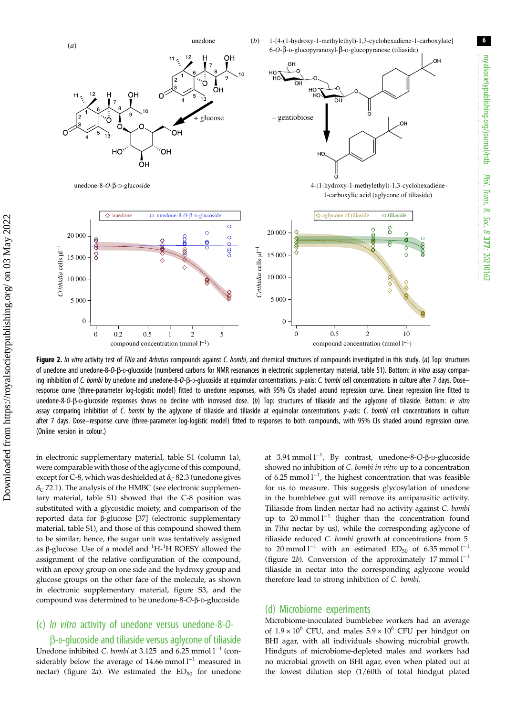royalsocietypublishing.org/journal/rstb

royalsocietypublishing.org/journal/rstb

6

Phil. Trans.

 R. Soc. $\sigma$ 

377: 20210162

<span id="page-5-0"></span>

Figure 2. In vitro activity test of Tilia and Arbutus compounds against C. bombi, and chemical structures of compounds investigated in this study. (a) Top: structures of unedone and unedone-8-O-β-D-qlucoside (numbered carbons for NMR resonances in electronic supplementary material, table S1). Bottom: in vitro assay comparing inhibition of C. bombi by unedone and unedone-8-O-β-D-glucoside at equimolar concentrations. y-axis: C. bombi cell concentrations in culture after 7 days. Doseresponse curve (three-parameter log-logistic model) fitted to unedone responses, with 95% CIs shaded around regression curve. Linear regression line fitted to unedone-8-O-β-D-qlucoside responses shows no decline with increased dose. (b) Top: structures of tiliaside and the aglycone of tiliaside. Bottom: in vitro assay comparing inhibition of C. bombi by the aglycone of tiliaside and tiliaside at equimolar concentrations. y-axis: C. bombi cell concentrations in culture after 7 days. Dose–response curve (three-parameter log-logistic model) fitted to responses to both compounds, with 95% CIs shaded around regression curve. (Online version in colour.)

in electronic supplementary material, table S1 (column 1a), were comparable with those of the aglycone of this compound, except for C-8, which was deshielded at  $\delta_C$  82.3 (unedone gives  $\delta$ <sub>C</sub> 72.1). The analysis of the HMBC (see electronic supplementary material, table S1) showed that the C-8 position was substituted with a glycosidic moiety, and comparison of the reported data for β-glucose [\[37](#page-9-0)] (electronic supplementary material, table S1), and those of this compound showed them to be similar; hence, the sugar unit was tentatively assigned as β-glucose. Use of a model and <sup>1</sup>H-<sup>1</sup>H ROESY allowed the assignment of the relative configuration of the compound, with an epoxy group on one side and the hydroxy group and glucose groups on the other face of the molecule, as shown in electronic supplementary material, figure S3, and the compound was determined to be unedone-8-O-β-D-glucoside.

## (c) In vitro activity of unedone versus unedone-8-O-

β-D-glucoside and tiliaside versus aglycone of tiliaside Unedone inhibited C. bombi at 3.125 and 6.25 mmol l<sup>-1</sup> (considerably below the average of 14.66 mmol l<sup>-1</sup> measured in nectar) (figure  $2a$ ). We estimated the  $ED_{50}$  for unedone

at 3.94 mmol l−<sup>1</sup> . By contrast, unedone-8-O-β-D-glucoside showed no inhibition of C. bombi in vitro up to a concentration of 6.25 mmol l<sup>-1</sup>, the highest concentration that was feasible for us to measure. This suggests glycosylation of unedone in the bumblebee gut will remove its antiparasitic activity. Tiliaside from linden nectar had no activity against C. bombi up to 20 mmol  $l^{-1}$  (higher than the concentration found in Tilia nectar by us), while the corresponding aglycone of tiliaside reduced C. bombi growth at concentrations from 5 to 20 mmol l<sup>−1</sup> with an estimated ED<sub>50</sub> of 6.35 mmol l<sup>−1</sup> (figure 2b). Conversion of the approximately 17 mmol l−<sup>1</sup> tiliaside in nectar into the corresponding aglycone would therefore lead to strong inhibition of C. bombi.

#### (d) Microbiome experiments

Microbiome-inoculated bumblebee workers had an average of  $1.9 \times 10^6$  CFU, and males  $5.9 \times 10^6$  CFU per hindgut on BHI agar, with all individuals showing microbial growth. Hindguts of microbiome-depleted males and workers had no microbial growth on BHI agar, even when plated out at the lowest dilution step (1/60th of total hindgut plated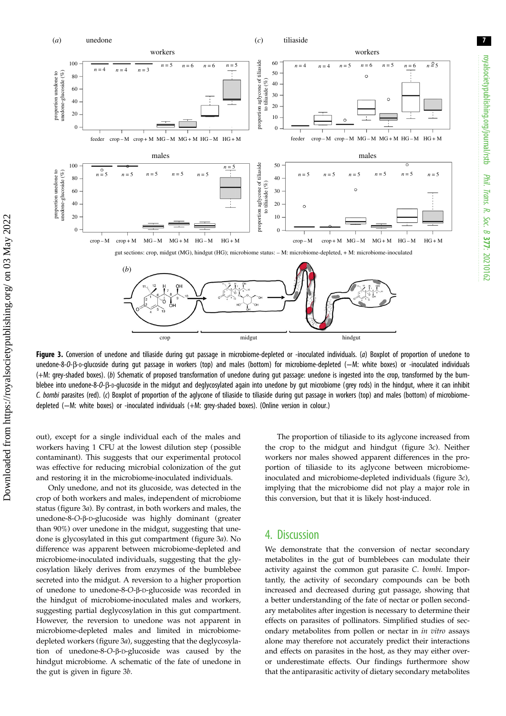

Figure 3. Conversion of unedone and tiliaside during gut passage in microbiome-depleted or -inoculated individuals. (a) Boxplot of proportion of unedone to unedone-8-O-β-D-glucoside during gut passage in workers (top) and males (bottom) for microbiome-depleted (−M: white boxes) or -inoculated individuals (+M: grey-shaded boxes). (b) Schematic of proposed transformation of unedone during gut passage: unedone is ingested into the crop, transformed by the bumblebee into unedone-8-O-β-D-qlucoside in the midqut and deqlycosylated again into unedone by qut microbiome (qrey rods) in the hindgut, where it can inhibit C. bombi parasites (red). (c) Boxplot of proportion of the aglycone of tiliaside to tiliaside during gut passage in workers (top) and males (bottom) of microbiomedepleted (−M: white boxes) or -inoculated individuals (+M: grey-shaded boxes). (Online version in colour.)

out), except for a single individual each of the males and workers having 1 CFU at the lowest dilution step (possible contaminant). This suggests that our experimental protocol was effective for reducing microbial colonization of the gut and restoring it in the microbiome-inoculated individuals.

Only unedone, and not its glucoside, was detected in the crop of both workers and males, independent of microbiome status (figure 3a). By contrast, in both workers and males, the unedone-8-O-β-D-glucoside was highly dominant (greater than 90%) over unedone in the midgut, suggesting that unedone is glycosylated in this gut compartment (figure 3a). No difference was apparent between microbiome-depleted and microbiome-inoculated individuals, suggesting that the glycosylation likely derives from enzymes of the bumblebee secreted into the midgut. A reversion to a higher proportion of unedone to unedone-8-O-β-D-glucoside was recorded in the hindgut of microbiome-inoculated males and workers, suggesting partial deglycosylation in this gut compartment. However, the reversion to unedone was not apparent in microbiome-depleted males and limited in microbiomedepleted workers (figure 3a), suggesting that the deglycosylation of unedone-8-O-β-D-glucoside was caused by the hindgut microbiome. A schematic of the fate of unedone in the gut is given in figure 3b.

The proportion of tiliaside to its aglycone increased from the crop to the midgut and hindgut (figure 3c). Neither workers nor males showed apparent differences in the proportion of tiliaside to its aglycone between microbiomeinoculated and microbiome-depleted individuals (figure 3c), implying that the microbiome did not play a major role in this conversion, but that it is likely host-induced.

## 4. Discussion

We demonstrate that the conversion of nectar secondary metabolites in the gut of bumblebees can modulate their activity against the common gut parasite C. bombi. Importantly, the activity of secondary compounds can be both increased and decreased during gut passage, showing that a better understanding of the fate of nectar or pollen secondary metabolites after ingestion is necessary to determine their effects on parasites of pollinators. Simplified studies of secondary metabolites from pollen or nectar in in vitro assays alone may therefore not accurately predict their interactions and effects on parasites in the host, as they may either overor underestimate effects. Our findings furthermore show that the antiparasitic activity of dietary secondary metabolites

royalsocietypublishing.org/journal/rstb

royalsocietypublishing.org/journal/rstb

Phil. Trans.

 R. Soc. $\sigma$ 

377: 20210162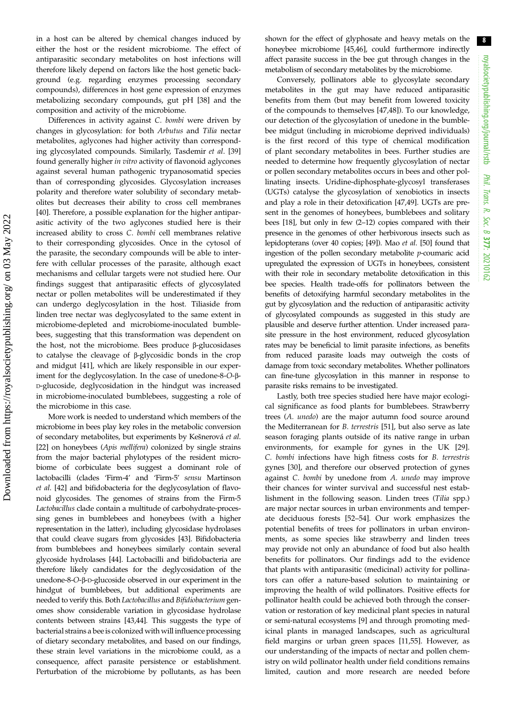in a host can be altered by chemical changes induced by either the host or the resident microbiome. The effect of antiparasitic secondary metabolites on host infections will therefore likely depend on factors like the host genetic background (e.g. regarding enzymes processing secondary compounds), differences in host gene expression of enzymes metabolizing secondary compounds, gut pH [\[38](#page-9-0)] and the composition and activity of the microbiome.

Differences in activity against C. bombi were driven by changes in glycosylation: for both Arbutus and Tilia nectar metabolites, aglycones had higher activity than corresponding glycosylated compounds. Similarly, Tasdemir et al. [[39\]](#page-9-0) found generally higher in vitro activity of flavonoid aglycones against several human pathogenic trypanosomatid species than of corresponding glycosides. Glycosylation increases polarity and therefore water solubility of secondary metabolites but decreases their ability to cross cell membranes [\[40](#page-9-0)]. Therefore, a possible explanation for the higher antiparasitic activity of the two aglycones studied here is their increased ability to cross C. bombi cell membranes relative to their corresponding glycosides. Once in the cytosol of the parasite, the secondary compounds will be able to interfere with cellular processes of the parasite, although exact mechanisms and cellular targets were not studied here. Our findings suggest that antiparasitic effects of glycosylated nectar or pollen metabolites will be underestimated if they can undergo deglycosylation in the host. Tiliaside from linden tree nectar was deglycosylated to the same extent in microbiome-depleted and microbiome-inoculated bumblebees, suggesting that this transformation was dependent on the host, not the microbiome. Bees produce β-glucosidases to catalyse the cleavage of β-glycosidic bonds in the crop and midgut [[41\]](#page-9-0), which are likely responsible in our experiment for the deglycosylation. In the case of unedone-8-O-β-D-glucoside, deglycosidation in the hindgut was increased in microbiome-inoculated bumblebees, suggesting a role of the microbiome in this case.

More work is needed to understand which members of the microbiome in bees play key roles in the metabolic conversion of secondary metabolites, but experiments by Kešnerová et al. [\[22](#page-8-0)] on honeybees (Apis mellifera) colonized by single strains from the major bacterial phylotypes of the resident microbiome of corbiculate bees suggest a dominant role of lactobacilli (clades 'Firm-4' and 'Firm-5' sensu Martinson et al. [\[42\]](#page-9-0) and bifidobacteria for the deglycosylation of flavonoid glycosides. The genomes of strains from the Firm-5 Lactobacillus clade contain a multitude of carbohydrate-processing genes in bumblebees and honeybees (with a higher representation in the latter), including glycosidase hydrolases that could cleave sugars from glycosides [\[43](#page-9-0)]. Bifidobacteria from bumblebees and honeybees similarly contain several glycoside hydrolases [\[44\]](#page-9-0). Lactobacilli and bifidobacteria are therefore likely candidates for the deglycosidation of the unedone-8-O-β-D-glucoside observed in our experiment in the hindgut of bumblebees, but additional experiments are needed to verify this. Both Lactobacillus and Bifidiobacterium genomes show considerable variation in glycosidase hydrolase contents between strains [\[43,44\]](#page-9-0). This suggests the type of bacterial strains a bee is colonized with will influence processing of dietary secondary metabolites, and based on our findings, these strain level variations in the microbiome could, as a consequence, affect parasite persistence or establishment. Perturbation of the microbiome by pollutants, as has been

shown for the effect of glyphosate and heavy metals on the honeybee microbiome [[45,46](#page-9-0)], could furthermore indirectly affect parasite success in the bee gut through changes in the metabolism of secondary metabolites by the microbiome.

Conversely, pollinators able to glycosylate secondary metabolites in the gut may have reduced antiparasitic benefits from them (but may benefit from lowered toxicity of the compounds to themselves [\[47](#page-9-0),[48\]](#page-9-0)). To our knowledge, our detection of the glycosylation of unedone in the bumblebee midgut (including in microbiome deprived individuals) is the first record of this type of chemical modification of plant secondary metabolites in bees. Further studies are needed to determine how frequently glycosylation of nectar or pollen secondary metabolites occurs in bees and other pollinating insects. Uridine-diphosphate-glycosyl transferases (UGTs) catalyse the glycosylation of xenobiotics in insects and play a role in their detoxification [\[47](#page-9-0),[49\]](#page-9-0). UGTs are present in the genomes of honeybees, bumblebees and solitary bees [\[18](#page-8-0)], but only in few (2–12) copies compared with their presence in the genomes of other herbivorous insects such as lepidopterans (over 40 copies; [\[49](#page-9-0)]). Mao et al. [\[50\]](#page-9-0) found that ingestion of the pollen secondary metabolite p-coumaric acid upregulated the expression of UGTs in honeybees, consistent with their role in secondary metabolite detoxification in this bee species. Health trade-offs for pollinators between the benefits of detoxifying harmful secondary metabolites in the gut by glycosylation and the reduction of antiparasitic activity of glycosylated compounds as suggested in this study are plausible and deserve further attention. Under increased parasite pressure in the host environment, reduced glycosylation rates may be beneficial to limit parasite infections, as benefits from reduced parasite loads may outweigh the costs of damage from toxic secondary metabolites. Whether pollinators can fine-tune glycosylation in this manner in response to parasite risks remains to be investigated.

Lastly, both tree species studied here have major ecological significance as food plants for bumblebees. Strawberry trees (A. unedo) are the major autumn food source around the Mediterranean for B. terrestris [[51\]](#page-9-0), but also serve as late season foraging plants outside of its native range in urban environments, for example for gynes in the UK [[29\]](#page-9-0). C. bombi infections have high fitness costs for B. terrestris gynes [[30\]](#page-9-0), and therefore our observed protection of gynes against C. bombi by unedone from A. unedo may improve their chances for winter survival and successful nest establishment in the following season. Linden trees (Tilia spp.) are major nectar sources in urban environments and temperate deciduous forests [[52](#page-9-0)–[54](#page-9-0)]. Our work emphasizes the potential benefits of trees for pollinators in urban environments, as some species like strawberry and linden trees may provide not only an abundance of food but also health benefits for pollinators. Our findings add to the evidence that plants with antiparasitic (medicinal) activity for pollinators can offer a nature-based solution to maintaining or improving the health of wild pollinators. Positive effects for pollinator health could be achieved both through the conservation or restoration of key medicinal plant species in natural or semi-natural ecosystems [[9](#page-8-0)] and through promoting medicinal plants in managed landscapes, such as agricultural field margins or urban green spaces [\[11,](#page-8-0)[55](#page-9-0)]. However, as our understanding of the impacts of nectar and pollen chemistry on wild pollinator health under field conditions remains limited, caution and more research are needed before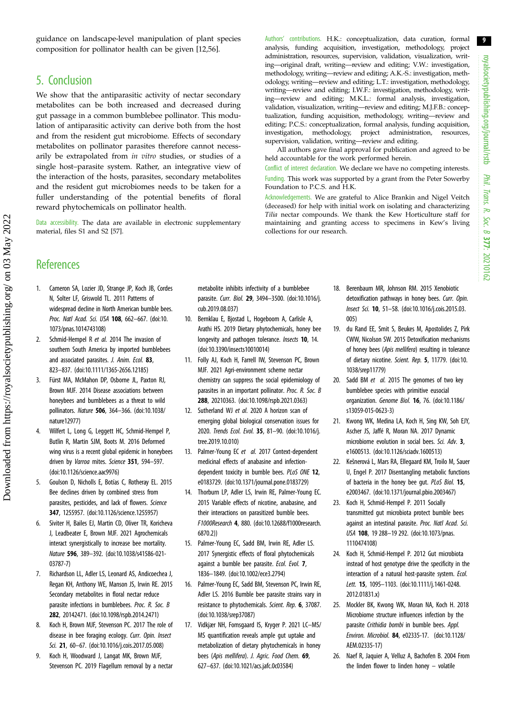9

<span id="page-8-0"></span>guidance on landscape-level manipulation of plant species composition for pollinator health can be given [12,[56\]](#page-9-0).

## 5. Conclusion

We show that the antiparasitic activity of nectar secondary metabolites can be both increased and decreased during gut passage in a common bumblebee pollinator. This modulation of antiparasitic activity can derive both from the host and from the resident gut microbiome. Effects of secondary metabolites on pollinator parasites therefore cannot necessarily be extrapolated from in vitro studies, or studies of a single host–parasite system. Rather, an integrative view of the interaction of the hosts, parasites, secondary metabolites and the resident gut microbiomes needs to be taken for a fuller understanding of the potential benefits of floral reward phytochemicals on pollinator health.

Data accessibility. The data are available in electronic supplementary material, files S1 and S2 [[57\]](#page-9-0).

Authors' contributions. H.K.: conceptualization, data curation, formal analysis, funding acquisition, investigation, methodology, project administration, resources, supervision, validation, visualization, writing—original draft, writing—review and editing; V.W.: investigation, methodology, writing—review and editing; A.K.-S.: investigation, methodology, writing—review and editing; L.T.: investigation, methodology, writing—review and editing; I.W.F.: investigation, methodology, writing—review and editing; M.K.L.: formal analysis, investigation, validation, visualization, writing—review and editing; M.J.F.B.: conceptualization, funding acquisition, methodology, writing—review and editing; P.C.S.: conceptualization, formal analysis, funding acquisition, investigation, methodology, project administration, resources, supervision, validation, writing—review and editing.

All authors gave final approval for publication and agreed to be held accountable for the work performed herein.

Conflict of interest declaration. We declare we have no competing interests. Funding. This work was supported by a grant from the Peter Sowerby Foundation to P.C.S. and H.K.

Acknowledgements. We are grateful to Alice Brankin and Nigel Veitch (deceased) for help with initial work on isolating and characterizing Tilia nectar compounds. We thank the Kew Horticulture staff for maintaining and granting access to specimens in Kew's living collections for our research.

## **References**

- 1. Cameron SA, Lozier JD, Strange JP, Koch JB, Cordes N, Solter LF, Griswold TL. 2011 Patterns of widespread decline in North American bumble bees. Proc. Natl Acad. Sci. USA 108, 662–667. ([doi:10.](http://dx.doi.org/10.1073/pnas.1014743108) [1073/pnas.1014743108](http://dx.doi.org/10.1073/pnas.1014743108))
- 2. Schmid-Hempel R et al. 2014 The invasion of southern South America by imported bumblebees and associated parasites. J. Anim. Ecol. 83. 823–837. ([doi:10.1111/1365-2656.12185](https://doi.org/10.1111/1365-2656.12185))
- 3. Fürst MA, McMahon DP, Osborne JL, Paxton RJ, Brown MJF. 2014 Disease associations between honeybees and bumblebees as a threat to wild pollinators. Nature 506, 364–366. [\(doi:10.1038/](http://dx.doi.org/10.1038/nature12977) [nature12977](http://dx.doi.org/10.1038/nature12977))
- 4. Wilfert L, Long G, Leggett HC, Schmid-Hempel P, Butlin R, Martin SJM, Boots M. 2016 Deformed wing virus is a recent global epidemic in honeybees driven by Varroa mites. Science 351, 594-597. [\(doi:10.1126/science.aac9976](http://dx.doi.org/10.1126/science.aac9976))
- 5. Goulson D, Nicholls E, Botías C, Rotheray EL. 2015 Bee declines driven by combined stress from parasites, pesticides, and lack of flowers. Science 347, 1255957. ([doi:10.1126/science.1255957\)](http://dx.doi.org/10.1126/science.1255957)
- 6. Siviter H, Bailes EJ, Martin CD, Oliver TR, Koricheva J, Leadbeater E, Brown MJF. 2021 Agrochemicals interact synergistically to increase bee mortality. Nature 596, 389–392. ([doi:10.1038/s41586-021-](http://dx.doi.org/10.1038/s41586-021-03787-7) [03787-7\)](http://dx.doi.org/10.1038/s41586-021-03787-7)
- 7. Richardson LL, Adler LS, Leonard AS, Andicoechea J, Regan KH, Anthony WE, Manson JS, Irwin RE. 2015 Secondary metabolites in floral nectar reduce parasite infections in bumblebees. Proc. R. Soc. B 282, 20142471. ([doi:10.1098/rspb.2014.2471\)](https://doi.org/10.1098/rspb.2014.2471)
- Koch H, Brown MJF, Stevenson PC. 2017 The role of disease in bee foraging ecology. Curr. Opin. Insect Sci. 21, 60–67. [\(doi:10.1016/j.cois.2017.05.008](http://dx.doi.org/10.1016/j.cois.2017.05.008))
- 9. Koch H, Woodward J, Langat MK, Brown MJF, Stevenson PC. 2019 Flagellum removal by a nectar

metabolite inhibits infectivity of a bumblebee parasite. Curr. Biol. 29, 3494–3500. [\(doi:10.1016/j.](http://dx.doi.org/10.1016/j.cub.2019.08.037) [cub.2019.08.037](http://dx.doi.org/10.1016/j.cub.2019.08.037))

- 10. Bernklau E, Bjostad L, Hogeboom A, Carlisle A, Arathi HS. 2019 Dietary phytochemicals, honey bee longevity and pathogen tolerance. Insects 10, 14. [\(doi:10.3390/insects10010014\)](http://dx.doi.org/10.3390/insects10010014)
- 11. Folly AJ, Koch H, Farrell IW, Stevenson PC, Brown MJF. 2021 Agri-environment scheme nectar chemistry can suppress the social epidemiology of parasites in an important pollinator. Proc. R. Soc. B 288, 20210363. ([doi:10.1098/rspb.2021.0363](https://doi.org/10.1098/rspb.2021.0363))
- 12. Sutherland WJ et al. 2020 A horizon scan of emerging global biological conservation issues for 2020. Trends Ecol. Evol. 35, 81–90. [\(doi:10.1016/j.](https://doi.org/10.1016/j.tree.2019.10.010) [tree.2019.10.010\)](https://doi.org/10.1016/j.tree.2019.10.010)
- 13. Palmer-Young EC et al. 2017 Context-dependent medicinal effects of anabasine and infectiondependent toxicity in bumble bees. PLoS ONE 12. e0183729. ([doi:10.1371/journal.pone.0183729](https://doi.org/10.1371/journal.pone.0183729))
- 14. Thorburn LP, Adler LS, Irwin RE, Palmer-Young EC. 2015 Variable effects of nicotine, anabasine, and their interactions on parasitized bumble bees. F1000Research 4, 880. ([doi:10.12688/f1000research.](https://doi.org/10.12688/f1000research.6870.2)) [6870.2\)\)](https://doi.org/10.12688/f1000research.6870.2))
- 15. Palmer-Young EC, Sadd BM, Irwin RE, Adler LS. 2017 Synergistic effects of floral phytochemicals against a bumble bee parasite. Ecol. Evol. 7. 1836–1849. [\(doi:10.1002/ece3.2794](http://dx.doi.org/10.1002/ece3.2794))
- 16. Palmer-Young EC, Sadd BM, Stevenson PC, Irwin RE, Adler LS. 2016 Bumble bee parasite strains vary in resistance to phytochemicals. Scient. Rep. 6, 37087. [\(doi:10.1038/srep37087\)](https://doi.org/10.1038/srep37087)
- 17. Vidkjær NH, Fomsgaard IS, Kryger P. 2021 LC–MS/ MS quantification reveals ample gut uptake and metabolization of dietary phytochemicals in honey bees (Apis mellifera). J. Agric. Food Chem. 69, 627–637. ([doi:10.1021/acs.jafc.0c03584\)](http://dx.doi.org/10.1021/acs.jafc.0c03584)
- 18. Berenbaum MR, Johnson RM. 2015 Xenobiotic detoxification pathways in honey bees. Curr. Opin. Insect Sci. 10, 51–58. ([doi:10.1016/j.cois.2015.03.](http://dx.doi.org/10.1016/j.cois.2015.03.005) [005\)](http://dx.doi.org/10.1016/j.cois.2015.03.005)
- 19. du Rand EE, Smit S, Beukes M, Apostolides Z, Pirk CWW, Nicolson SW. 2015 Detoxification mechanisms of honey bees (Apis mellifera) resulting in tolerance of dietary nicotine. Scient. Rep. 5, 11779. ([doi:10.](https://doi.org/10.1038/srep11779) [1038/srep11779\)](https://doi.org/10.1038/srep11779)
- 20. Sadd BM et al. 2015 The genomes of two key bumblebee species with primitive eusocial organization. Genome Biol. 16, 76. ([doi:10.1186/](https://doi.org/10.1186/s13059-015-0623-3) [s13059-015-0623-3](https://doi.org/10.1186/s13059-015-0623-3))
- 21. Kwong WK, Medina LA, Koch H, Sing KW, Soh EJY, Ascher JS, Jaffé R, Moran NA. 2017 Dynamic microbiome evolution in social bees. Sci. Adv. 3, e1600513. [\(doi:10.1126/sciadv.1600513\)](http://dx.doi.org/10.1126/sciadv.1600513)
- 22. Kešnerová L, Mars RA, Ellegaard KM, Troilo M, Sauer U, Engel P. 2017 Disentangling metabolic functions of bacteria in the honey bee gut. PLoS Biol. 15, e2003467. [\(doi:10.1371/journal.pbio.2003467](http://dx.doi.org/10.1371/journal.pbio.2003467))
- 23. Koch H, Schmid-Hempel P. 2011 Socially transmitted gut microbiota protect bumble bees against an intestinal parasite. Proc. Natl Acad. Sci. USA 108, 19 288–19 292. [\(doi:10.1073/pnas.](http://dx.doi.org/10.1073/pnas.1110474108) [1110474108](http://dx.doi.org/10.1073/pnas.1110474108))
- 24. Koch H, Schmid-Hempel P. 2012 Gut microbiota instead of host genotype drive the specificity in the interaction of a natural host-parasite system. Ecol. Lett. 15, 1095–1103. [\(doi:10.1111/j.1461-0248.](https://doi.org/10.1111/j.1461-0248.2012.01831.x) [2012.01831.x](https://doi.org/10.1111/j.1461-0248.2012.01831.x))
- 25. Mockler BK, Kwong WK, Moran NA, Koch H. 2018 Microbiome structure influences infection by the parasite Crithidia bombi in bumble bees. Appl. Environ. Microbiol. 84, e02335-17. ([doi:10.1128/](https://doi.org/10.1128/AEM.02335-17) [AEM.02335-17\)](https://doi.org/10.1128/AEM.02335-17)
- 26. Naef R, Jaquier A, Velluz A, Bachofen B. 2004 From the linden flower to linden honey – volatile